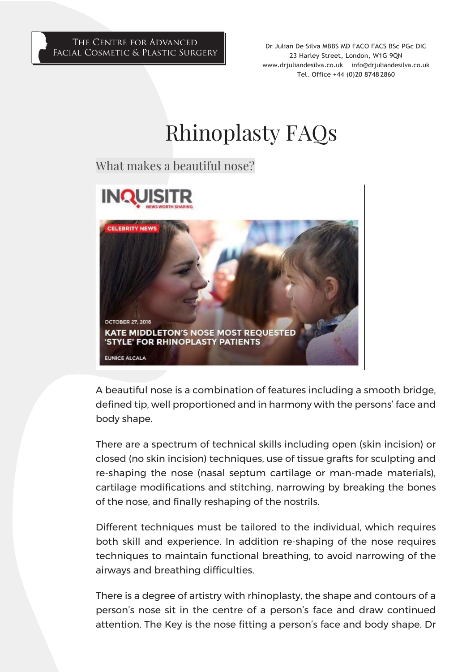#### THE CENTRE FOR ADVANCED FACIAL COSMETIC & PLASTIC SURGERY

Dr Julian De Silva MBBS MD FACO FACS BSc PGc DIC 23 Harley Street, London, W1G 9QN [www.drjuliandesilva.co.uk](http://www.drjuliandesilva.co.uk/) [info@drjuliandesilva.co.uk](mailto:info@drjuliandesilva.co.uk) Tel. Office +44 (0)20 8748 2860

# Rhinoplasty FAQs

What makes a beautiful nose?



A beautiful nose is a combination of features including a smooth bridge, defined tip, well proportioned and in harmony with the persons' face and body shape.

There are a spectrum of technical skills including open (skin incision) or closed (no skin incision) techniques, use of tissue grafts for sculpting and re-shaping the nose (nasal septum cartilage or man-made materials), cartilage modifications and stitching, narrowing by breaking the bones of the nose, and finally reshaping of the nostrils.

Different techniques must be tailored to the individual, which requires both skill and experience. In addition re-shaping of the nose requires techniques to maintain functional breathing, to avoid narrowing of the airways and breathing difficulties.

There is a degree of artistry with rhinoplasty, the shape and contours of a person's nose sit in the centre of a person's face and draw continued attention. The Key is the nose fitting a person's face and body shape. Dr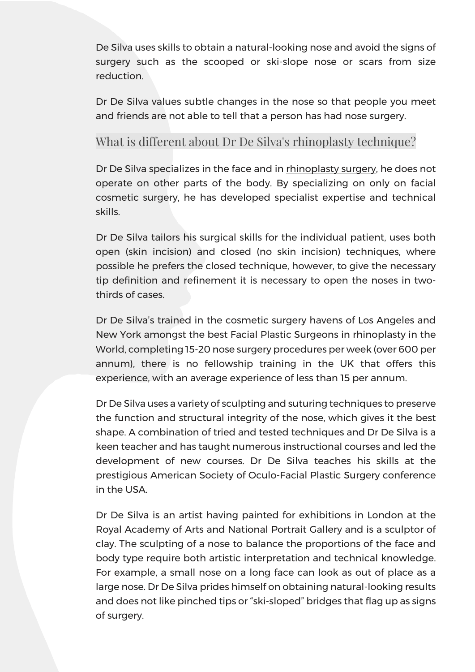De Silva uses skills to obtain a natural-looking nose and avoid the signs of surgery such as the scooped or ski-slope nose or scars from size reduction.

Dr De Silva values subtle changes in the nose so that people you meet and friends are not able to tell that a person has had nose surgery.

#### What is different about Dr De Silva's rhinoplasty technique?

Dr De Silva specializes in the face and in rhinoplasty surgery, he does not operate on other parts of the body. By specializing on only on facial cosmetic surgery, he has developed specialist expertise and technical skills.

Dr De Silva tailors his surgical skills for the individual patient, uses both open (skin incision) and closed (no skin incision) techniques, where possible he prefers the closed technique, however, to give the necessary tip definition and refinement it is necessary to open the noses in twothirds of cases.

Dr De Silva's trained in the cosmetic surgery havens of Los Angeles and New York amongst the best Facial Plastic Surgeons in rhinoplasty in the World, completing 15-20 nose surgery procedures per week (over 600 per annum), there is no fellowship training in the UK that offers this experience, with an average experience of less than 15 per annum.

Dr De Silva uses a variety of sculpting and suturing techniques to preserve the function and structural integrity of the nose, which gives it the best shape. A combination of tried and tested techniques and Dr De Silva is a keen teacher and has taught numerous instructional courses and led the development of new courses. Dr De Silva teaches his skills at the prestigious American Society of Oculo-Facial Plastic Surgery conference in the USA.

Dr De Silva is an artist having painted for exhibitions in London at the Royal Academy of Arts and National Portrait Gallery and is a sculptor of clay. The sculpting of a nose to balance the proportions of the face and body type require both artistic interpretation and technical knowledge. For example, a small nose on a long face can look as out of place as a large nose. Dr De Silva prides himself on obtaining natural-looking results and does not like pinched tips or "ski-sloped" bridges that flag up as signs of surgery.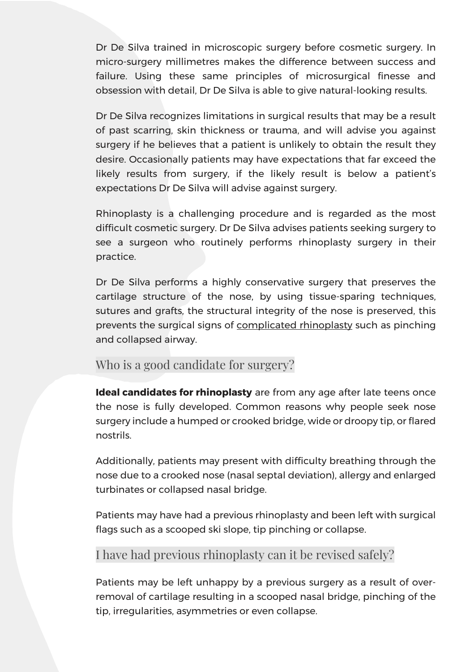Dr De Silva trained in microscopic surgery before cosmetic surgery. In micro-surgery millimetres makes the difference between success and failure. Using these same principles of microsurgical finesse and obsession with detail, Dr De Silva is able to give natural-looking results.

Dr De Silva recognizes limitations in surgical results that may be a result of past scarring, skin thickness or trauma, and will advise you against surgery if he believes that a patient is unlikely to obtain the result they desire. Occasionally patients may have expectations that far exceed the likely results from surgery, if the likely result is below a patient's expectations Dr De Silva will advise against surgery.

Rhinoplasty is a challenging procedure and is regarded as the most difficult cosmetic surgery. Dr De Silva advises patients seeking surgery to see a surgeon who routinely performs rhinoplasty surgery in their practice.

Dr De Silva performs a highly conservative surgery that preserves the cartilage structure of the nose, by using tissue-sparing techniques, sutures and grafts, the structural integrity of the nose is preserved, this prevents the surgical signs of [complicated rhinoplasty](https://www.ncbi.nlm.nih.gov/pmc/articles/PMC3199839/) such as pinching and collapsed airway.

#### Who is a good candidate for surgery?

**Ideal candidates for rhinoplasty** are from any age after late teens once the nose is fully developed. Common reasons why people seek nose surgery include a humped or crooked bridge, wide or droopy tip, or flared nostrils.

Additionally, patients may present with difficulty breathing through the nose due to a crooked nose (nasal septal deviation), allergy and enlarged turbinates or collapsed nasal bridge.

Patients may have had a previous rhinoplasty and been left with surgical flags such as a scooped ski slope, tip pinching or collapse.

## I have had previous rhinoplasty can it be revised safely?

Patients may be left unhappy by a previous surgery as a result of overremoval of cartilage resulting in a scooped nasal bridge, pinching of the tip, irregularities, asymmetries or even collapse.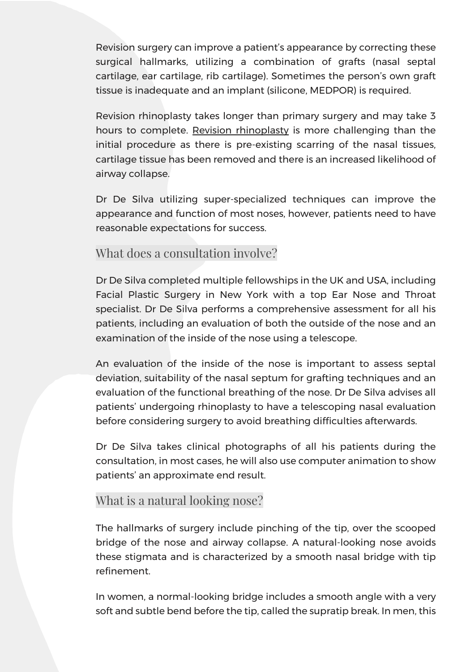Revision surgery can improve a patient's appearance by correcting these surgical hallmarks, utilizing a combination of grafts (nasal septal cartilage, ear cartilage, rib cartilage). Sometimes the person's own graft tissue is inadequate and an implant (silicone, MEDPOR) is required.

Revision rhinoplasty takes longer than primary surgery and may take 3 hours to complete. Revision rhinoplasty is more challenging than the initial procedure as there is pre-existing scarring of the nasal tissues, cartilage tissue has been removed and there is an increased likelihood of airway collapse.

Dr De Silva utilizing super-specialized techniques can improve the appearance and function of most noses, however, patients need to have reasonable expectations for success.

#### What does a consultation involve?

Dr De Silva completed multiple fellowships in the UK and USA, including Facial Plastic Surgery in New York with a top Ear Nose and Throat specialist. Dr De Silva performs a comprehensive assessment for all his patients, including an evaluation of both the outside of the nose and an examination of the inside of the nose using a telescope.

An evaluation of the inside of the nose is important to assess septal deviation, suitability of the nasal septum for grafting techniques and an evaluation of the functional breathing of the nose. Dr De Silva advises all patients' undergoing rhinoplasty to have a telescoping nasal evaluation before considering surgery to avoid breathing difficulties afterwards.

Dr De Silva takes clinical photographs of all his patients during the consultation, in most cases, he will also use computer animation to show patients' an approximate end result.

#### What is a natural looking nose?

The hallmarks of surgery include pinching of the tip, over the scooped bridge of the nose and airway collapse. A natural-looking nose avoids these stigmata and is characterized by a smooth nasal bridge with tip refinement.

In women, a normal-looking bridge includes a smooth angle with a very soft and subtle bend before the tip, called the supratip break. In men, this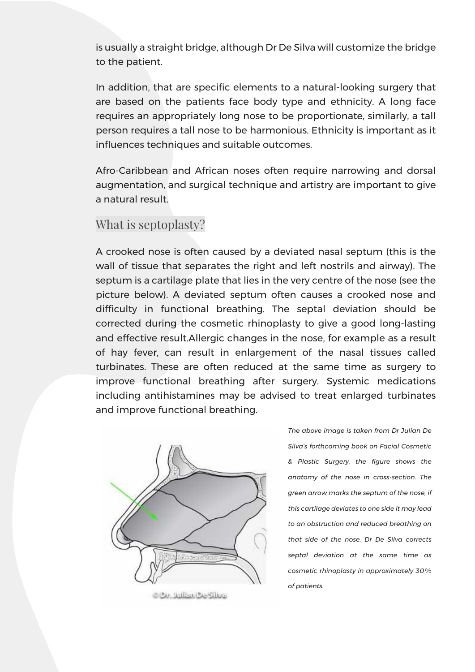is usually a straight bridge, although Dr De Silva will customize the bridge to the patient.

In addition, that are specific elements to a natural-looking surgery that are based on the patients face body type and ethnicity. A long face requires an appropriately long nose to be proportionate, similarly, a tall person requires a tall nose to be harmonious. Ethnicity is important as it influences techniques and suitable outcomes.

Afro-Caribbean and African noses often require narrowing and dorsal augmentation, and surgical technique and artistry are important to give a natural result.

#### What is septoplasty?

A crooked nose is often caused by a deviated nasal septum (this is the wall of tissue that separates the right and left nostrils and airway). The septum is a cartilage plate that lies in the very centre of the nose (see the picture below). A [deviated septum](https://www.webmd.com/allergies/deviated-septum) often causes a crooked nose and difficulty in functional breathing. The septal deviation should be corrected during the cosmetic rhinoplasty to give a good long-lasting and effective result.Allergic changes in the nose, for example as a result of hay fever, can result in enlargement of the nasal tissues called turbinates. These are often reduced at the same time as surgery to improve functional breathing after surgery. Systemic medications including antihistamines may be advised to treat enlarged turbinates and improve functional breathing.



*The above image is taken from Dr Julian De Silva's forthcoming book on Facial Cosmetic & Plastic Surgery, the figure shows the anatomy of the nose in cross-section. The green arrow marks the septum of the nose, if this cartilage deviates to one side it may lead to an obstruction and reduced breathing on that side of the nose. Dr De Silva corrects septal deviation at the same time as cosmetic rhinoplasty in approximately 30% of patients.*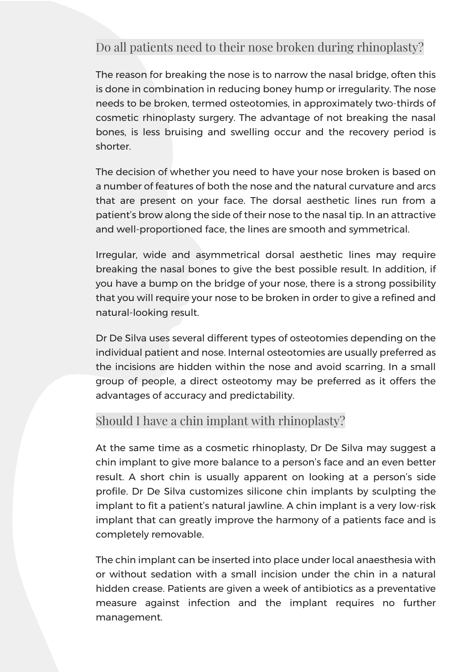# Do all patients need to their nose broken during rhinoplasty?

The reason for breaking the nose is to narrow the nasal bridge, often this is done in combination in reducing boney hump or irregularity. The nose needs to be broken, termed osteotomies, in approximately two-thirds of cosmetic rhinoplasty surgery. The advantage of not breaking the nasal bones, is less bruising and swelling occur and the recovery period is shorter.

The decision of whether you need to have your nose broken is based on a number of features of both the nose and the natural curvature and arcs that are present on your face. The dorsal aesthetic lines run from a patient's brow along the side of their nose to the nasal tip. In an attractive and well-proportioned face, the lines are smooth and symmetrical.

Irregular, wide and asymmetrical dorsal aesthetic lines may require breaking the nasal bones to give the best possible result. In addition, if you have a bump on the bridge of your nose, there is a strong possibility that you will require your nose to be broken in order to give a refined and natural-looking result.

Dr De Silva uses several different types of osteotomies depending on the individual patient and nose. Internal osteotomies are usually preferred as the incisions are hidden within the nose and avoid scarring. In a small group of people, a direct osteotomy may be preferred as it offers the advantages of accuracy and predictability.

## Should I have a chin implant with rhinoplasty?

At the same time as a cosmetic rhinoplasty, Dr De Silva may suggest a chin implant to give more balance to a person's face and an even better result. A short chin is usually apparent on looking at a person's side profile. Dr De Silva customizes silicone chin implants by sculpting the implant to fit a patient's natural jawline. A chin implant is a very low-risk implant that can greatly improve the harmony of a patients face and is completely removable.

The chin implant can be inserted into place under local anaesthesia with or without sedation with a small incision under the chin in a natural hidden crease. Patients are given a week of antibiotics as a preventative measure against infection and the implant requires no further management.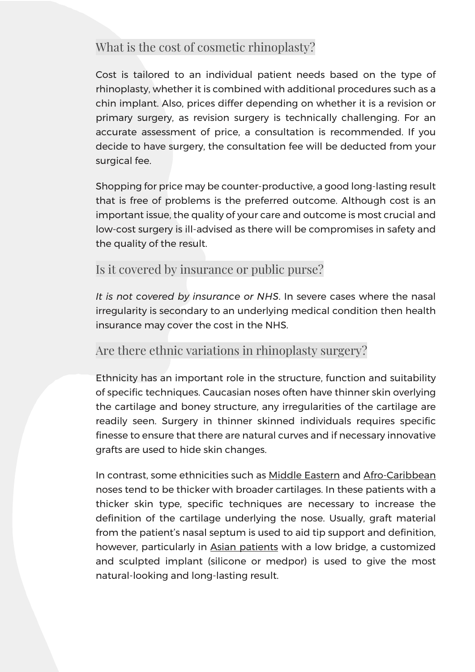## What is the cost of cosmetic rhinoplasty?

Cost is tailored to an individual patient needs based on the type of rhinoplasty, whether it is combined with additional procedures such as a chin implant. Also, prices differ depending on whether it is a revision or primary surgery, as revision surgery is technically challenging. For an accurate assessment of price, a consultation is recommended. If you decide to have surgery, the consultation fee will be deducted from your surgical fee.

Shopping for price may be counter-productive, a good long-lasting result that is free of problems is the preferred outcome. Although cost is an important issue, the quality of your care and outcome is most crucial and low-cost surgery is ill-advised as there will be compromises in safety and the quality of the result.

#### Is it covered by insurance or public purse?

*It is not covered by insurance or NHS*. In severe cases where the nasal irregularity is secondary to an underlying medical condition then health insurance may cover the cost in the NHS.

#### Are there ethnic variations in rhinoplasty surgery?

Ethnicity has an important role in the structure, function and suitability of specific techniques. Caucasian noses often have thinner skin overlying the cartilage and boney structure, any irregularities of the cartilage are readily seen. Surgery in thinner skinned individuals requires specific finesse to ensure that there are natural curves and if necessary innovative grafts are used to hide skin changes.

In contrast, some ethnicities such as Middle Eastern and Afro-Caribbean noses tend to be thicker with broader cartilages. In these patients with a thicker skin type, specific techniques are necessary to increase the definition of the cartilage underlying the nose. Usually, graft material from the patient's nasal septum is used to aid tip support and definition, however, particularly in Asian patients with a low bridge, a customized and sculpted implant (silicone or medpor) is used to give the most natural-looking and long-lasting result.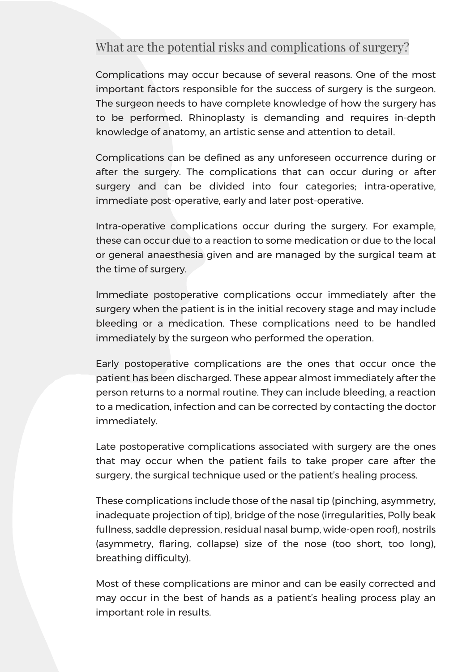## What are the potential risks and complications of surgery?

Complications may occur because of several reasons. One of the most important factors responsible for the success of surgery is the surgeon. The surgeon needs to have complete knowledge of how the surgery has to be performed. Rhinoplasty is demanding and requires in-depth knowledge of anatomy, an artistic sense and attention to detail.

Complications can be defined as any unforeseen occurrence during or after the surgery. The complications that can occur during or after surgery and can be divided into four categories; intra-operative, immediate post-operative, early and later post-operative.

Intra-operative complications occur during the surgery. For example, these can occur due to a reaction to some medication or due to the local or general anaesthesia given and are managed by the surgical team at the time of surgery.

Immediate postoperative complications occur immediately after the surgery when the patient is in the initial recovery stage and may include bleeding or a medication. These complications need to be handled immediately by the surgeon who performed the operation.

Early postoperative complications are the ones that occur once the patient has been discharged. These appear almost immediately after the person returns to a normal routine. They can include bleeding, a reaction to a medication, infection and can be corrected by contacting the doctor immediately.

Late postoperative complications associated with surgery are the ones that may occur when the patient fails to take proper care after the surgery, the surgical technique used or the patient's healing process.

These complications include those of the nasal tip (pinching, asymmetry, inadequate projection of tip), bridge of the nose (irregularities, Polly beak fullness, saddle depression, residual nasal bump, wide-open roof), nostrils (asymmetry, flaring, collapse) size of the nose (too short, too long), breathing difficulty).

Most of these complications are minor and can be easily corrected and may occur in the best of hands as a patient's healing process play an important role in results.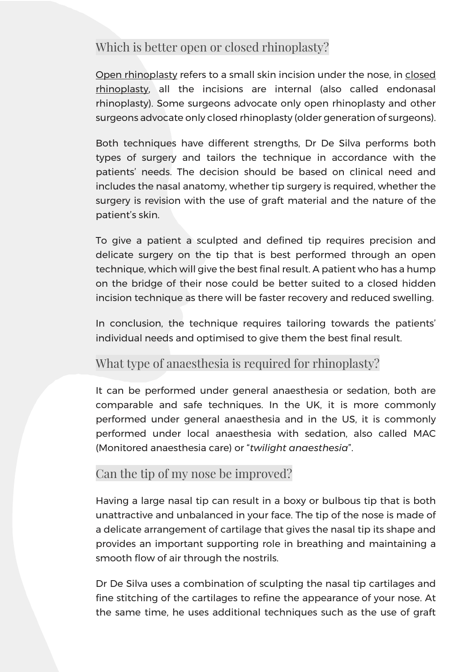## Which is better open or closed rhinoplasty?

[Open rhinoplasty](https://www.ncbi.nlm.nih.gov/books/NBK546628/) refers to a small skin incision under the nose, in [closed](https://emedicine.medscape.com/article/1291976-overview)  [rhinoplasty,](https://emedicine.medscape.com/article/1291976-overview) all the incisions are internal (also called endonasal rhinoplasty). Some surgeons advocate only open rhinoplasty and other surgeons advocate only closed rhinoplasty (older generation of surgeons).

Both techniques have different strengths, Dr De Silva performs both types of surgery and tailors the technique in accordance with the patients' needs. The decision should be based on clinical need and includes the nasal anatomy, whether tip surgery is required, whether the surgery is revision with the use of graft material and the nature of the patient's skin.

To give a patient a sculpted and defined tip requires precision and delicate surgery on the tip that is best performed through an open technique, which will give the best final result. A patient who has a hump on the bridge of their nose could be better suited to a closed hidden incision technique as there will be faster recovery and reduced swelling.

In conclusion, the technique requires tailoring towards the patients' individual needs and optimised to give them the best final result.

## What type of anaesthesia is required for rhinoplasty?

It can be performed under general anaesthesia or sedation, both are comparable and safe techniques. In the UK, it is more commonly performed under general anaesthesia and in the US, it is commonly performed under local anaesthesia with sedation, also called MAC (Monitored anaesthesia care) or "*twilight anaesthesia*".

#### Can the tip of my nose be improved?

Having a large nasal tip can result in a boxy or bulbous tip that is both unattractive and unbalanced in your face. The tip of the nose is made of a delicate arrangement of cartilage that gives the nasal tip its shape and provides an important supporting role in breathing and maintaining a smooth flow of air through the nostrils.

Dr De Silva uses a combination of sculpting the nasal tip cartilages and fine stitching of the cartilages to refine the appearance of your nose. At the same time, he uses additional techniques such as the use of graft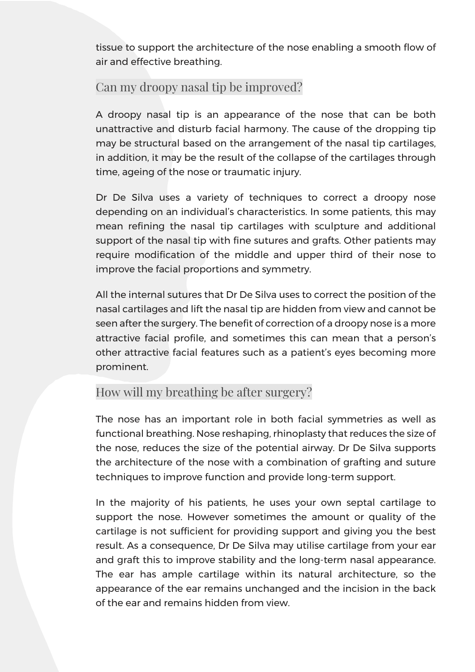tissue to support the architecture of the nose enabling a smooth flow of air and effective breathing.

## Can my droopy nasal tip be improved?

A droopy nasal tip is an appearance of the nose that can be both unattractive and disturb facial harmony. The cause of the dropping tip may be structural based on the arrangement of the nasal tip cartilages, in addition, it may be the result of the collapse of the cartilages through time, ageing of the nose or traumatic injury.

Dr De Silva uses a variety of techniques to correct a droopy nose depending on an individual's characteristics. In some patients, this may mean refining the nasal tip cartilages with sculpture and additional support of the nasal tip with fine sutures and grafts. Other patients may require modification of the middle and upper third of their nose to improve the facial proportions and symmetry.

All the internal sutures that Dr De Silva uses to correct the position of the nasal cartilages and lift the nasal tip are hidden from view and cannot be seen after the surgery. The benefit of correction of a droopy nose is a more attractive facial profile, and sometimes this can mean that a person's other attractive facial features such as a patient's eyes becoming more prominent.

## How will my breathing be after surgery?

The nose has an important role in both facial symmetries as well as functional breathing. Nose reshaping, rhinoplasty that reduces the size of the nose, reduces the size of the potential airway. Dr De Silva supports the architecture of the nose with a combination of grafting and suture techniques to improve function and provide long-term support.

In the majority of his patients, he uses your own septal cartilage to support the nose. However sometimes the amount or quality of the cartilage is not sufficient for providing support and giving you the best result. As a consequence, Dr De Silva may utilise cartilage from your ear and graft this to improve stability and the long-term nasal appearance. The ear has ample cartilage within its natural architecture, so the appearance of the ear remains unchanged and the incision in the back of the ear and remains hidden from view.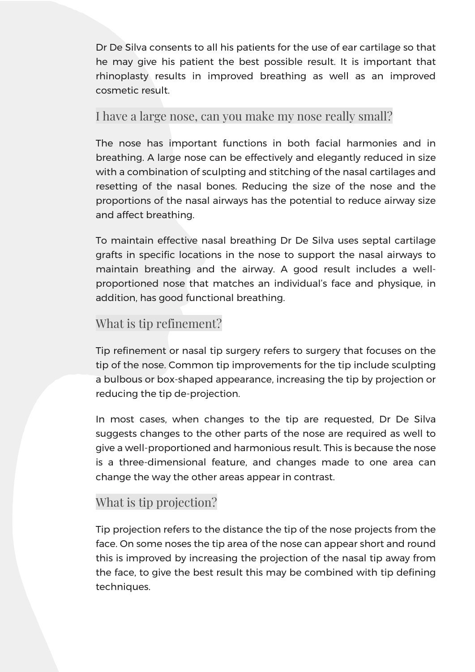Dr De Silva consents to all his patients for the use of ear cartilage so that he may give his patient the best possible result. It is important that rhinoplasty results in improved breathing as well as an improved cosmetic result.

#### I have a large nose, can you make my nose really small?

The nose has important functions in both facial harmonies and in breathing. A large nose can be effectively and elegantly reduced in size with a combination of sculpting and stitching of the nasal cartilages and resetting of the nasal bones. Reducing the size of the nose and the proportions of the nasal airways has the potential to reduce airway size and affect breathing.

To maintain effective nasal breathing Dr De Silva uses septal cartilage grafts in specific locations in the nose to support the nasal airways to maintain breathing and the airway. A good result includes a wellproportioned nose that matches an individual's face and physique, in addition, has good functional breathing.

## What is tip refinement?

Tip refinement or nasal tip surgery refers to surgery that focuses on the tip of the nose. Common tip improvements for the tip include sculpting a bulbous or box-shaped appearance, increasing the tip by projection or reducing the tip de-projection.

In most cases, when changes to the tip are requested, Dr De Silva suggests changes to the other parts of the nose are required as well to give a well-proportioned and harmonious result. This is because the nose is a three-dimensional feature, and changes made to one area can change the way the other areas appear in contrast.

#### What is tip projection?

Tip projection refers to the distance the tip of the nose projects from the face. On some noses the tip area of the nose can appear short and round this is improved by increasing the projection of the nasal tip away from the face, to give the best result this may be combined with tip defining techniques.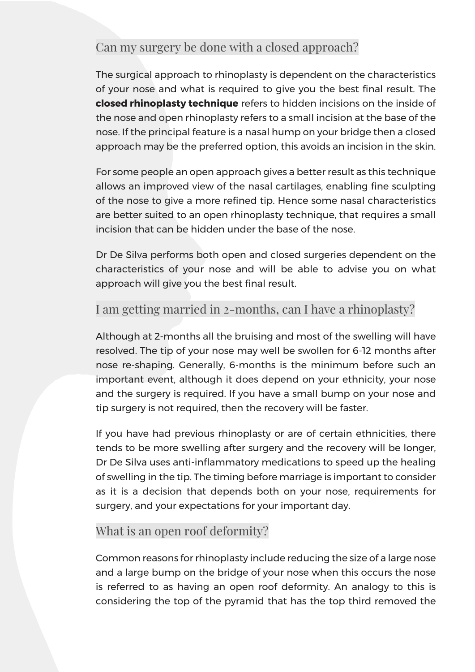## Can my surgery be done with a closed approach?

The surgical approach to rhinoplasty is dependent on the characteristics of your nose and what is required to give you the best final result. The **closed rhinoplasty technique** refers to hidden incisions on the inside of the nose and open rhinoplasty refers to a small incision at the base of the nose. If the principal feature is a nasal hump on your bridge then a closed approach may be the preferred option, this avoids an incision in the skin.

For some people an open approach gives a better result as this technique allows an improved view of the nasal cartilages, enabling fine sculpting of the nose to give a more refined tip. Hence some nasal characteristics are better suited to an open rhinoplasty technique, that requires a small incision that can be hidden under the base of the nose.

Dr De Silva performs both open and closed surgeries dependent on the characteristics of your nose and will be able to advise you on what approach will give you the best final result.

## I am getting married in 2-months, can I have a rhinoplasty?

Although at 2-months all the bruising and most of the swelling will have resolved. The tip of your nose may well be swollen for 6-12 months after nose re-shaping. Generally, 6-months is the minimum before such an important event, although it does depend on your ethnicity, your nose and the surgery is required. If you have a small bump on your nose and tip surgery is not required, then the recovery will be faster.

If you have had previous rhinoplasty or are of certain ethnicities, there tends to be more swelling after surgery and the recovery will be longer, Dr De Silva uses anti-inflammatory medications to speed up the healing of swelling in the tip. The timing before marriage is important to consider as it is a decision that depends both on your nose, requirements for surgery, and your expectations for your important day.

#### What is an open roof deformity?

Common reasons for rhinoplasty include reducing the size of a large nose and a large bump on the bridge of your nose when this occurs the nose is referred to as having an open roof deformity. An analogy to this is considering the top of the pyramid that has the top third removed the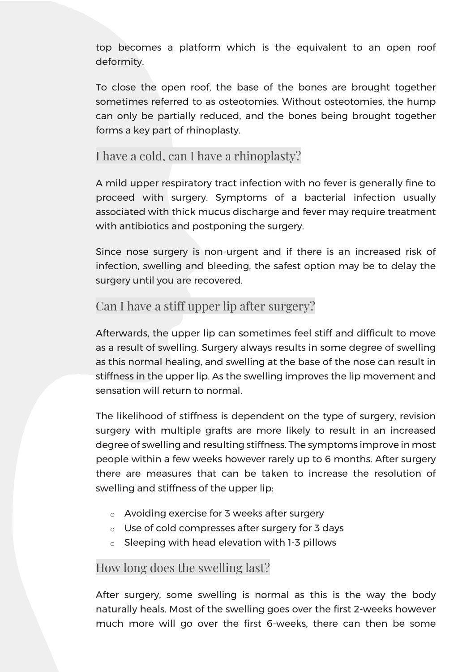top becomes a platform which is the equivalent to an open roof deformity.

To close the open roof, the base of the bones are brought together sometimes referred to as osteotomies. Without osteotomies, the hump can only be partially reduced, and the bones being brought together forms a key part of rhinoplasty.

#### I have a cold, can I have a rhinoplasty?

A mild upper respiratory tract infection with no fever is generally fine to proceed with surgery. Symptoms of a bacterial infection usually associated with thick mucus discharge and fever may require treatment with antibiotics and postponing the surgery.

Since nose surgery is non-urgent and if there is an increased risk of infection, swelling and bleeding, the safest option may be to delay the surgery until you are recovered.

#### Can I have a stiff upper lip after surgery?

Afterwards, the upper lip can sometimes feel stiff and difficult to move as a result of swelling. Surgery always results in some degree of swelling as this normal healing, and swelling at the base of the nose can result in stiffness in the upper lip. As the swelling improves the lip movement and sensation will return to normal.

The likelihood of stiffness is dependent on the type of surgery, revision surgery with multiple grafts are more likely to result in an increased degree of swelling and resulting stiffness. The symptoms improve in most people within a few weeks however rarely up to 6 months. After surgery there are measures that can be taken to increase the resolution of swelling and stiffness of the upper lip:

- o Avoiding exercise for 3 weeks after surgery
- o Use of cold compresses after surgery for 3 days
- o Sleeping with head elevation with 1-3 pillows

#### How long does the swelling last?

After surgery, some swelling is normal as this is the way the body naturally heals. Most of the swelling goes over the first 2-weeks however much more will go over the first 6-weeks, there can then be some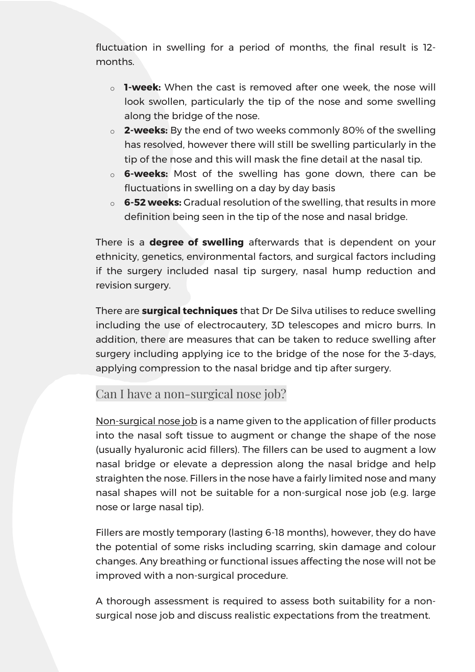fluctuation in swelling for a period of months, the final result is 12 months.

- o **1-week:** When the cast is removed after one week, the nose will look swollen, particularly the tip of the nose and some swelling along the bridge of the nose.
- o **2-weeks:** By the end of two weeks commonly 80% of the swelling has resolved, however there will still be swelling particularly in the tip of the nose and this will mask the fine detail at the nasal tip.
- o **6-weeks:** Most of the swelling has gone down, there can be fluctuations in swelling on a day by day basis
- o **6-52 weeks:** Gradual resolution of the swelling, that results in more definition being seen in the tip of the nose and nasal bridge.

There is a **degree of swelling** afterwards that is dependent on your ethnicity, genetics, environmental factors, and surgical factors including if the surgery included nasal tip surgery, nasal hump reduction and revision surgery.

There are **surgical techniques** that Dr De Silva utilises to reduce swelling including the use of electrocautery, 3D telescopes and micro burrs. In addition, there are measures that can be taken to reduce swelling after surgery including applying ice to the bridge of the nose for the 3-days, applying compression to the nasal bridge and tip after surgery.

#### Can I have a non-surgical nose job?

[Non-surgical nose job](https://theharleystreetfillerspecialistslondon.co.uk/dermal-fillers/non-surgical-rhinoplasty/) is a name given to the application of filler products into the nasal soft tissue to augment or change the shape of the nose (usually hyaluronic acid fillers). The fillers can be used to augment a low nasal bridge or elevate a depression along the nasal bridge and help straighten the nose. Fillers in the nose have a fairly limited nose and many nasal shapes will not be suitable for a non-surgical nose job (e.g. large nose or large nasal tip).

Fillers are mostly temporary (lasting 6-18 months), however, they do have the potential of some risks including scarring, skin damage and colour changes. Any breathing or functional issues affecting the nose will not be improved with a non-surgical procedure.

A thorough assessment is required to assess both suitability for a nonsurgical nose job and discuss realistic expectations from the treatment.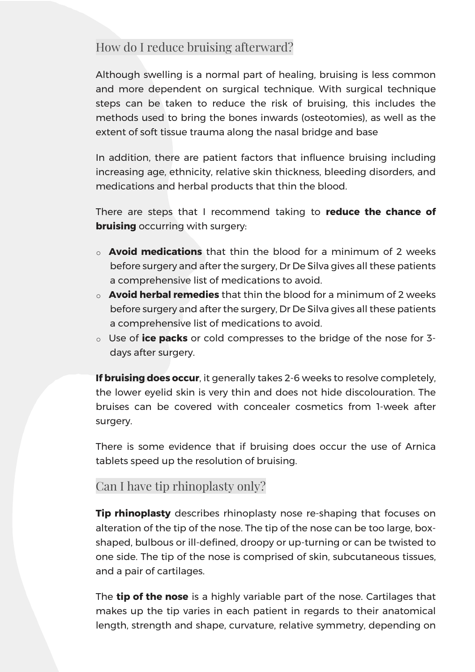## How do I reduce bruising afterward?

Although swelling is a normal part of healing, bruising is less common and more dependent on surgical technique. With surgical technique steps can be taken to reduce the risk of bruising, this includes the methods used to bring the bones inwards (osteotomies), as well as the extent of soft tissue trauma along the nasal bridge and base

In addition, there are patient factors that influence bruising including increasing age, ethnicity, relative skin thickness, bleeding disorders, and medications and herbal products that thin the blood.

There are steps that I recommend taking to **reduce the chance of bruising** occurring with surgery:

- o **Avoid medications** that thin the blood for a minimum of 2 weeks before surgery and after the surgery, Dr De Silva gives all these patients a comprehensive list of medications to avoid.
- o **Avoid herbal remedies** that thin the blood for a minimum of 2 weeks before surgery and after the surgery, Dr De Silva gives all these patients a comprehensive list of medications to avoid.
- o Use of **ice packs** or cold compresses to the bridge of the nose for 3 days after surgery.

**If bruising does occur**, it generally takes 2-6 weeks to resolve completely, the lower eyelid skin is very thin and does not hide discolouration. The bruises can be covered with concealer cosmetics from 1-week after surgery.

There is some evidence that if bruising does occur the use of Arnica tablets speed up the resolution of bruising.

## Can I have tip rhinoplasty only?

**Tip rhinoplasty** describes rhinoplasty nose re-shaping that focuses on alteration of the tip of the nose. The tip of the nose can be too large, boxshaped, bulbous or ill-defined, droopy or up-turning or can be twisted to one side. The tip of the nose is comprised of skin, subcutaneous tissues, and a pair of cartilages.

The **tip of the nose** is a highly variable part of the nose. Cartilages that makes up the tip varies in each patient in regards to their anatomical length, strength and shape, curvature, relative symmetry, depending on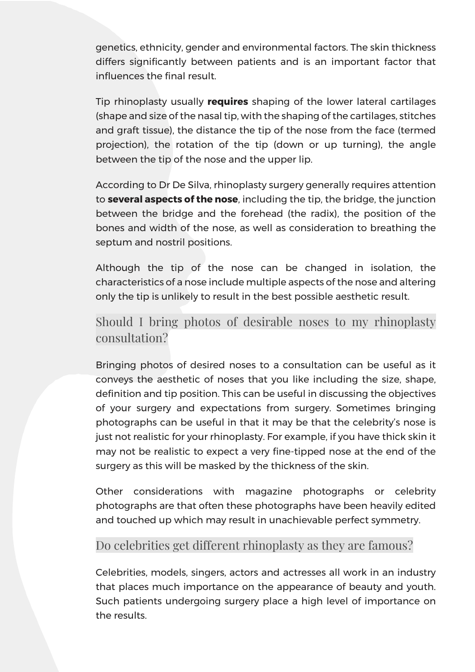genetics, ethnicity, gender and environmental factors. The skin thickness differs significantly between patients and is an important factor that influences the final result.

Tip rhinoplasty usually **requires** shaping of the lower lateral cartilages (shape and size of the nasal tip, with the shaping of the cartilages, stitches and graft tissue), the distance the tip of the nose from the face (termed projection), the rotation of the tip (down or up turning), the angle between the tip of the nose and the upper lip.

According to Dr De Silva, rhinoplasty surgery generally requires attention to **several aspects of the nose**, including the tip, the bridge, the junction between the bridge and the forehead (the radix), the position of the bones and width of the nose, as well as consideration to breathing the septum and nostril positions.

Although the tip of the nose can be changed in isolation, the characteristics of a nose include multiple aspects of the nose and altering only the tip is unlikely to result in the best possible aesthetic result.

## Should I bring photos of desirable noses to my rhinoplasty consultation?

Bringing photos of desired noses to a consultation can be useful as it conveys the aesthetic of noses that you like including the size, shape, definition and tip position. This can be useful in discussing the objectives of your surgery and expectations from surgery. Sometimes bringing photographs can be useful in that it may be that the celebrity's nose is just not realistic for your rhinoplasty. For example, if you have thick skin it may not be realistic to expect a very fine-tipped nose at the end of the surgery as this will be masked by the thickness of the skin.

Other considerations with magazine photographs or celebrity photographs are that often these photographs have been heavily edited and touched up which may result in unachievable perfect symmetry.

#### Do celebrities get different rhinoplasty as they are famous?

Celebrities, models, singers, actors and actresses all work in an industry that places much importance on the appearance of beauty and youth. Such patients undergoing surgery place a high level of importance on the results.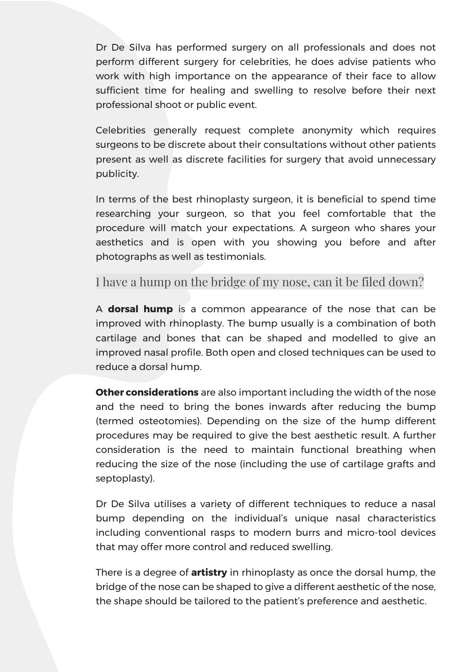Dr De Silva has performed surgery on all professionals and does not perform different surgery for celebrities, he does advise patients who work with high importance on the appearance of their face to allow sufficient time for healing and swelling to resolve before their next professional shoot or public event.

Celebrities generally request complete anonymity which requires surgeons to be discrete about their consultations without other patients present as well as discrete facilities for surgery that avoid unnecessary publicity.

In terms of the best rhinoplasty surgeon, it is beneficial to spend time researching your surgeon, so that you feel comfortable that the procedure will match your expectations. A surgeon who shares your aesthetics and is open with you showing you before and after photographs as well as testimonials.

#### I have a hump on the bridge of my nose, can it be filed down?

A **dorsal hump** is a common appearance of the nose that can be improved with rhinoplasty. The bump usually is a combination of both cartilage and bones that can be shaped and modelled to give an improved nasal profile. Both open and closed techniques can be used to reduce a dorsal hump.

**Other considerations** are also important including the width of the nose and the need to bring the bones inwards after reducing the bump (termed osteotomies). Depending on the size of the hump different procedures may be required to give the best aesthetic result. A further consideration is the need to maintain functional breathing when reducing the size of the nose (including the use of cartilage grafts and septoplasty).

Dr De Silva utilises a variety of different techniques to reduce a nasal bump depending on the individual's unique nasal characteristics including conventional rasps to modern burrs and micro-tool devices that may offer more control and reduced swelling.

There is a degree of **artistry** in rhinoplasty as once the dorsal hump, the bridge of the nose can be shaped to give a different aesthetic of the nose, the shape should be tailored to the patient's preference and aesthetic.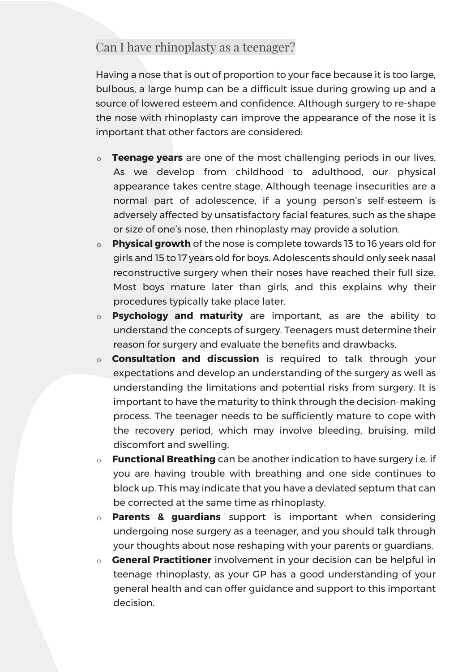## Can I have rhinoplasty as a teenager?

Having a nose that is out of proportion to your face because it is too large, bulbous, a large hump can be a difficult issue during growing up and a source of lowered esteem and confidence. Although surgery to re-shape the nose with rhinoplasty can improve the appearance of the nose it is important that other factors are considered:

- o **Teenage years** are one of the most challenging periods in our lives. As we develop from childhood to adulthood, our physical appearance takes centre stage. Although teenage insecurities are a normal part of adolescence, if a young person's self-esteem is adversely affected by unsatisfactory facial features, such as the shape or size of one's nose, then rhinoplasty may provide a solution.
- o **Physical growth** of the nose is complete towards 13 to 16 years old for girls and 15 to 17 years old for boys. Adolescents should only seek nasal reconstructive surgery when their noses have reached their full size. Most boys mature later than girls, and this explains why their procedures typically take place later.
- o **Psychology and maturity** are important, as are the ability to understand the concepts of surgery. Teenagers must determine their reason for surgery and evaluate the benefits and drawbacks.
- o **Consultation and discussion** is required to talk through your expectations and develop an understanding of the surgery as well as understanding the limitations and potential risks from surgery. It is important to have the maturity to think through the decision-making process. The teenager needs to be sufficiently mature to cope with the recovery period, which may involve bleeding, bruising, mild discomfort and swelling.
- o **Functional Breathing** can be another indication to have surgery i.e. if you are having trouble with breathing and one side continues to block up. This may indicate that you have a deviated septum that can be corrected at the same time as rhinoplasty.
- o **Parents & guardians** support is important when considering undergoing nose surgery as a teenager, and you should talk through your thoughts about nose reshaping with your parents or guardians.
- o **General Practitioner** involvement in your decision can be helpful in teenage rhinoplasty, as your GP has a good understanding of your general health and can offer guidance and support to this important decision.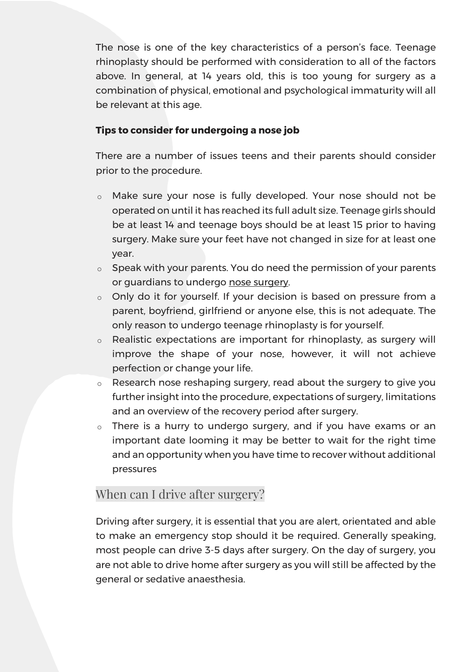The nose is one of the key characteristics of a person's face. Teenage rhinoplasty should be performed with consideration to all of the factors above. In general, at 14 years old, this is too young for surgery as a combination of physical, emotional and psychological immaturity will all be relevant at this age.

#### **Tips to consider for undergoing a nose job**

There are a number of issues teens and their parents should consider prior to the procedure.

- o Make sure your nose is fully developed. Your nose should not be operated on until it has reached its full adult size. Teenage girls should be at least 14 and teenage boys should be at least 15 prior to having surgery. Make sure your feet have not changed in size for at least one year.
- o Speak with your parents. You do need the permission of your parents or guardians to undergo nose surgery.
- o Only do it for yourself. If your decision is based on pressure from a parent, boyfriend, girlfriend or anyone else, this is not adequate. The only reason to undergo teenage rhinoplasty is for yourself.
- o Realistic expectations are important for rhinoplasty, as surgery will improve the shape of your nose, however, it will not achieve perfection or change your life.
- o Research nose reshaping surgery, read about the surgery to give you further insight into the procedure, expectations of surgery, limitations and an overview of the recovery period after surgery.
- o There is a hurry to undergo surgery, and if you have exams or an important date looming it may be better to wait for the right time and an opportunity when you have time to recover without additional pressures

#### When can I drive after surgery?

Driving after surgery, it is essential that you are alert, orientated and able to make an emergency stop should it be required. Generally speaking, most people can drive 3-5 days after surgery. On the day of surgery, you are not able to drive home after surgery as you will still be affected by the general or sedative anaesthesia.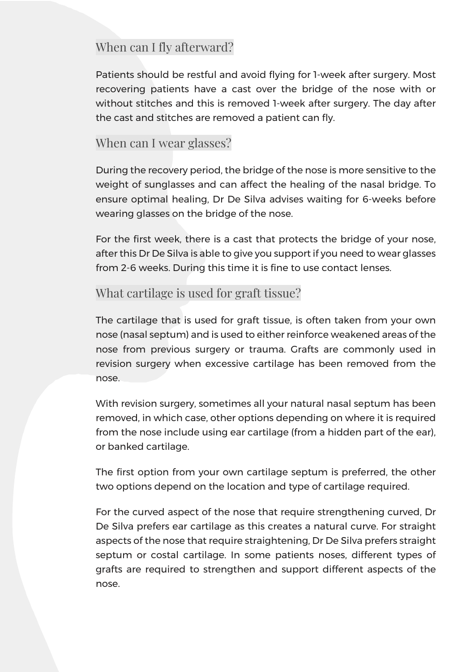## When can I fly afterward?

Patients should be restful and avoid flying for 1-week after surgery. Most recovering patients have a cast over the bridge of the nose with or without stitches and this is removed 1-week after surgery. The day after the cast and stitches are removed a patient can fly.

#### When can I wear glasses?

During the recovery period, the bridge of the nose is more sensitive to the weight of sunglasses and can affect the healing of the nasal bridge. To ensure optimal healing, Dr De Silva advises waiting for 6-weeks before wearing glasses on the bridge of the nose.

For the first week, there is a cast that protects the bridge of your nose, after this Dr De Silva is able to give you support if you need to wear glasses from 2-6 weeks. During this time it is fine to use contact lenses.

## What cartilage is used for graft tissue?

The cartilage that is used for graft tissue, is often taken from your own nose (nasal septum) and is used to either reinforce weakened areas of the nose from previous surgery or trauma. Grafts are commonly used in revision surgery when excessive cartilage has been removed from the nose.

With revision surgery, sometimes all your natural nasal septum has been removed, in which case, other options depending on where it is required from the nose include using ear cartilage (from a hidden part of the ear), or banked cartilage.

The first option from your own cartilage septum is preferred, the other two options depend on the location and type of cartilage required.

For the curved aspect of the nose that require strengthening curved, Dr De Silva prefers ear cartilage as this creates a natural curve. For straight aspects of the nose that require straightening, Dr De Silva prefers straight septum or costal cartilage. In some patients noses, different types of grafts are required to strengthen and support different aspects of the nose.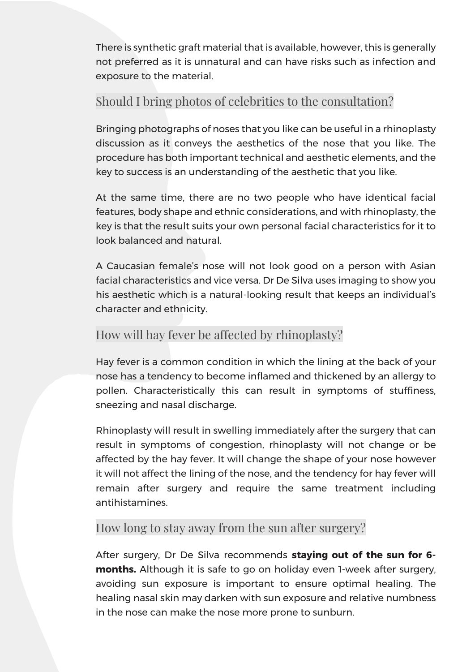There is synthetic graft material that is available, however, this is generally not preferred as it is unnatural and can have risks such as infection and exposure to the material.

## Should I bring photos of celebrities to the consultation?

Bringing photographs of noses that you like can be useful in a rhinoplasty discussion as it conveys the aesthetics of the nose that you like. The procedure has both important technical and aesthetic elements, and the key to success is an understanding of the aesthetic that you like.

At the same time, there are no two people who have identical facial features, body shape and ethnic considerations, and with rhinoplasty, the key is that the result suits your own personal facial characteristics for it to look balanced and natural.

A Caucasian female's nose will not look good on a person with Asian facial characteristics and vice versa. Dr De Silva uses imaging to show you his aesthetic which is a natural-looking result that keeps an individual's character and ethnicity.

## How will hay fever be affected by rhinoplasty?

Hay fever is a common condition in which the lining at the back of your nose has a tendency to become inflamed and thickened by an allergy to pollen. Characteristically this can result in symptoms of stuffiness, sneezing and nasal discharge.

Rhinoplasty will result in swelling immediately after the surgery that can result in symptoms of congestion, rhinoplasty will not change or be affected by the hay fever. It will change the shape of your nose however it will not affect the lining of the nose, and the tendency for hay fever will remain after surgery and require the same treatment including antihistamines.

## How long to stay away from the sun after surgery?

After surgery, Dr De Silva recommends **staying out of the sun for 6 months.** Although it is safe to go on holiday even 1-week after surgery, avoiding sun exposure is important to ensure optimal healing. The healing nasal skin may darken with sun exposure and relative numbness in the nose can make the nose more prone to sunburn.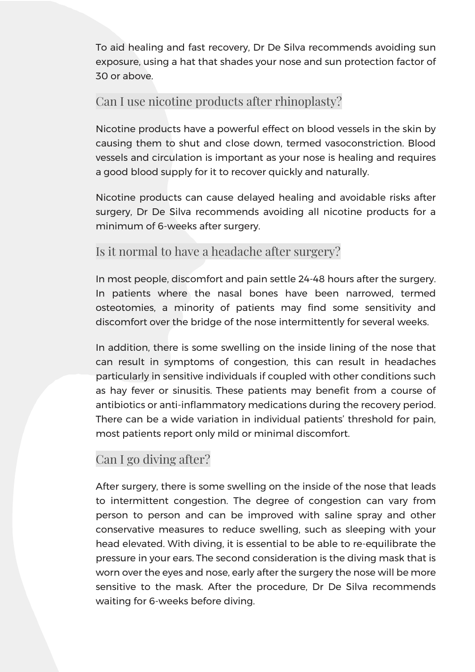To aid healing and fast recovery, Dr De Silva recommends avoiding sun exposure, using a hat that shades your nose and sun protection factor of 30 or above.

#### Can I use nicotine products after rhinoplasty?

Nicotine products have a powerful effect on blood vessels in the skin by causing them to shut and close down, termed vasoconstriction. Blood vessels and circulation is important as your nose is healing and requires a good blood supply for it to recover quickly and naturally.

Nicotine products can cause delayed healing and avoidable risks after surgery, Dr De Silva recommends avoiding all nicotine products for a minimum of 6-weeks after surgery.

## Is it normal to have a headache after surgery?

In most people, discomfort and pain settle 24-48 hours after the surgery. In patients where the nasal bones have been narrowed, termed osteotomies, a minority of patients may find some sensitivity and discomfort over the bridge of the nose intermittently for several weeks.

In addition, there is some swelling on the inside lining of the nose that can result in symptoms of congestion, this can result in headaches particularly in sensitive individuals if coupled with other conditions such as hay fever or sinusitis. These patients may benefit from a course of antibiotics or anti-inflammatory medications during the recovery period. There can be a wide variation in individual patients' threshold for pain, most patients report only mild or minimal discomfort.

## Can I go diving after?

After surgery, there is some swelling on the inside of the nose that leads to intermittent congestion. The degree of congestion can vary from person to person and can be improved with saline spray and other conservative measures to reduce swelling, such as sleeping with your head elevated. With diving, it is essential to be able to re-equilibrate the pressure in your ears. The second consideration is the diving mask that is worn over the eyes and nose, early after the surgery the nose will be more sensitive to the mask. After the procedure, Dr De Silva recommends waiting for 6-weeks before diving.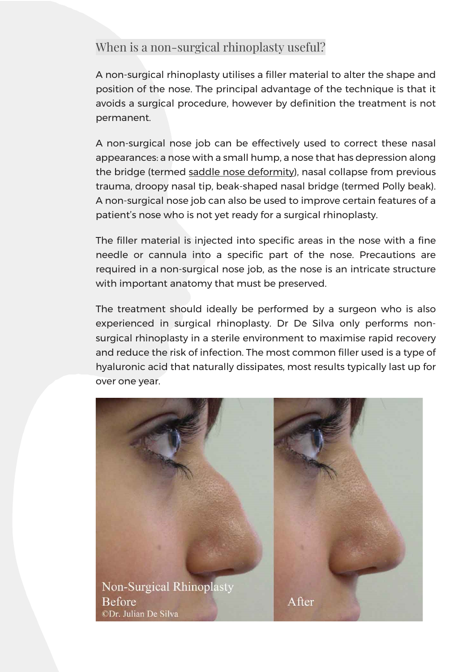## When is a non-surgical rhinoplasty useful?

A non-surgical rhinoplasty utilises a filler material to alter the shape and position of the nose. The principal advantage of the technique is that it avoids a surgical procedure, however by definition the treatment is not permanent.

A non-surgical nose job can be effectively used to correct these nasal appearances: a nose with a small hump, a nose that has depression along the bridge (termed [saddle nose deformity\)](https://emedicine.medscape.com/article/840910-overview), nasal collapse from previous trauma, droopy nasal tip, beak-shaped nasal bridge (termed Polly beak). A non-surgical nose job can also be used to improve certain features of a patient's nose who is not yet ready for a surgical rhinoplasty.

The filler material is injected into specific areas in the nose with a fine needle or cannula into a specific part of the nose. Precautions are required in a non-surgical nose job, as the nose is an intricate structure with important anatomy that must be preserved.

The treatment should ideally be performed by a surgeon who is also experienced in surgical rhinoplasty. Dr De Silva only performs nonsurgical rhinoplasty in a sterile environment to maximise rapid recovery and reduce the risk of infection. The most common filler used is a type of hyaluronic acid that naturally dissipates, most results typically last up for over one year.

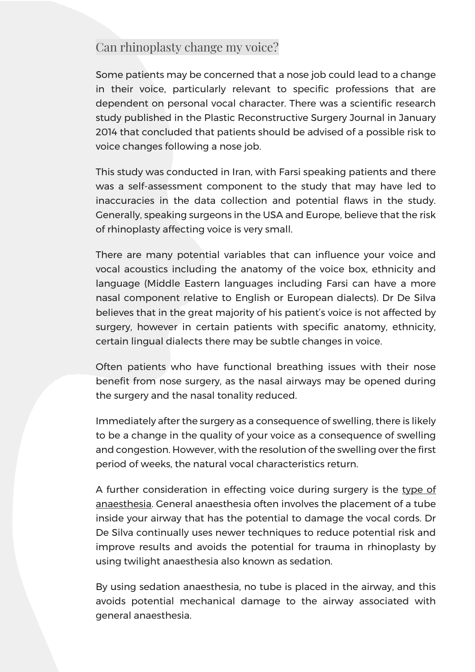#### Can rhinoplasty change my voice?

Some patients may be concerned that a nose job could lead to a change in their voice, particularly relevant to specific professions that are dependent on personal vocal character. There was a scientific research study published in the Plastic Reconstructive Surgery Journal in January 2014 that concluded that patients should be advised of a possible risk to voice changes following a nose job.

This study was conducted in Iran, with Farsi speaking patients and there was a self-assessment component to the study that may have led to inaccuracies in the data collection and potential flaws in the study. Generally, speaking surgeons in the USA and Europe, believe that the risk of rhinoplasty affecting voice is very small.

There are many potential variables that can influence your voice and vocal acoustics including the anatomy of the voice box, ethnicity and language (Middle Eastern languages including Farsi can have a more nasal component relative to English or European dialects). Dr De Silva believes that in the great majority of his patient's voice is not affected by surgery, however in certain patients with specific anatomy, ethnicity, certain lingual dialects there may be subtle changes in voice.

Often patients who have functional breathing issues with their nose benefit from nose surgery, as the nasal airways may be opened during the surgery and the nasal tonality reduced.

Immediately after the surgery as a consequence of swelling, there is likely to be a change in the quality of your voice as a consequence of swelling and congestion. However, with the resolution of the swelling over the first period of weeks, the natural vocal characteristics return.

A further consideration in effecting voice during surgery is the type of anaesthesia. General anaesthesia often involves the placement of a tube inside your airway that has the potential to damage the vocal cords. Dr De Silva continually uses newer techniques to reduce potential risk and improve results and avoids the potential for trauma in rhinoplasty by using twilight anaesthesia also known as sedation.

By using sedation anaesthesia, no tube is placed in the airway, and this avoids potential mechanical damage to the airway associated with general anaesthesia.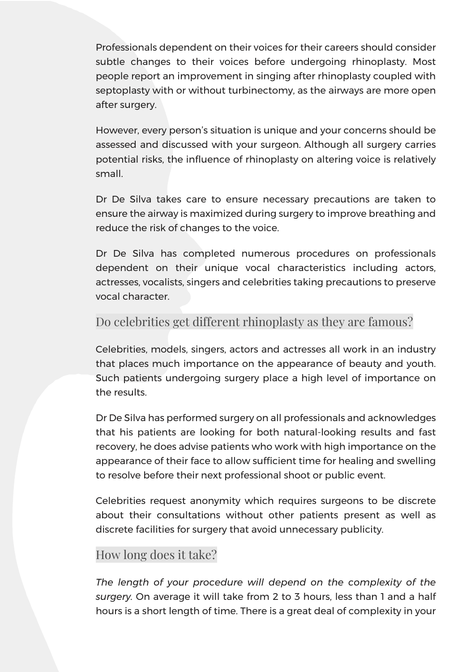Professionals dependent on their voices for their careers should consider subtle changes to their voices before undergoing rhinoplasty. Most people report an improvement in singing after rhinoplasty coupled with septoplasty with or without turbinectomy, as the airways are more open after surgery.

However, every person's situation is unique and your concerns should be assessed and discussed with your surgeon. Although all surgery carries potential risks, the influence of rhinoplasty on altering voice is relatively small.

Dr De Silva takes care to ensure necessary precautions are taken to ensure the airway is maximized during surgery to improve breathing and reduce the risk of changes to the voice.

Dr De Silva has completed numerous procedures on professionals dependent on their unique vocal characteristics including actors, actresses, vocalists, singers and celebrities taking precautions to preserve vocal character.

## Do celebrities get different rhinoplasty as they are famous?

Celebrities, models, singers, actors and actresses all work in an industry that places much importance on the appearance of beauty and youth. Such patients undergoing surgery place a high level of importance on the results.

Dr De Silva has performed surgery on all professionals and acknowledges that his patients are looking for both natural-looking results and fast recovery, he does advise patients who work with high importance on the appearance of their face to allow sufficient time for healing and swelling to resolve before their next professional shoot or public event.

Celebrities request anonymity which requires surgeons to be discrete about their consultations without other patients present as well as discrete facilities for surgery that avoid unnecessary publicity.

# How long does it take?

*The length of your procedure will depend on the complexity of the surgery.* On average it will take from 2 to 3 hours, less than 1 and a half hours is a short length of time. There is a great deal of complexity in your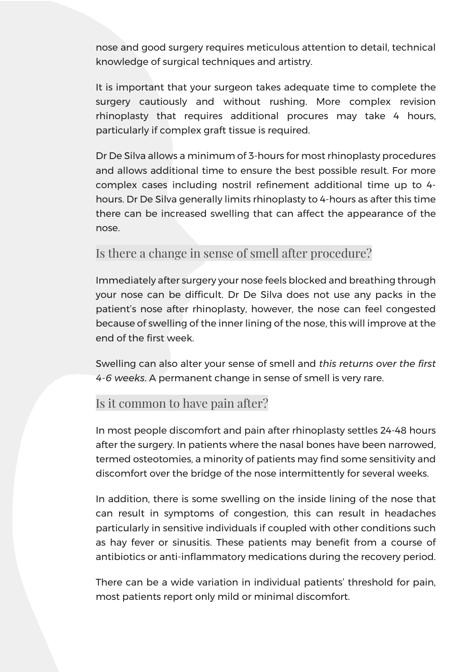nose and good surgery requires meticulous attention to detail, technical knowledge of surgical techniques and artistry.

It is important that your surgeon takes adequate time to complete the surgery cautiously and without rushing. More complex revision rhinoplasty that requires additional procures may take 4 hours, particularly if complex graft tissue is required.

Dr De Silva allows a minimum of 3-hours for most rhinoplasty procedures and allows additional time to ensure the best possible result. For more complex cases including nostril refinement additional time up to 4 hours. Dr De Silva generally limits rhinoplasty to 4-hours as after this time there can be increased swelling that can affect the appearance of the nose.

#### Is there a change in sense of smell after procedure?

Immediately after surgery your nose feels blocked and breathing through your nose can be difficult. Dr De Silva does not use any packs in the patient's nose after rhinoplasty, however, the nose can feel congested because of swelling of the inner lining of the nose, this will improve at the end of the first week.

Swelling can also alter your sense of smell and *this returns over the first 4-6 weeks*. A permanent change in sense of smell is very rare.

#### Is it common to have pain after?

In most people discomfort and pain after rhinoplasty settles 24-48 hours after the surgery. In patients where the nasal bones have been narrowed, termed osteotomies, a minority of patients may find some sensitivity and discomfort over the bridge of the nose intermittently for several weeks.

In addition, there is some swelling on the inside lining of the nose that can result in symptoms of congestion, this can result in headaches particularly in sensitive individuals if coupled with other conditions such as hay fever or sinusitis. These patients may benefit from a course of antibiotics or anti-inflammatory medications during the recovery period.

There can be a wide variation in individual patients' threshold for pain, most patients report only mild or minimal discomfort.